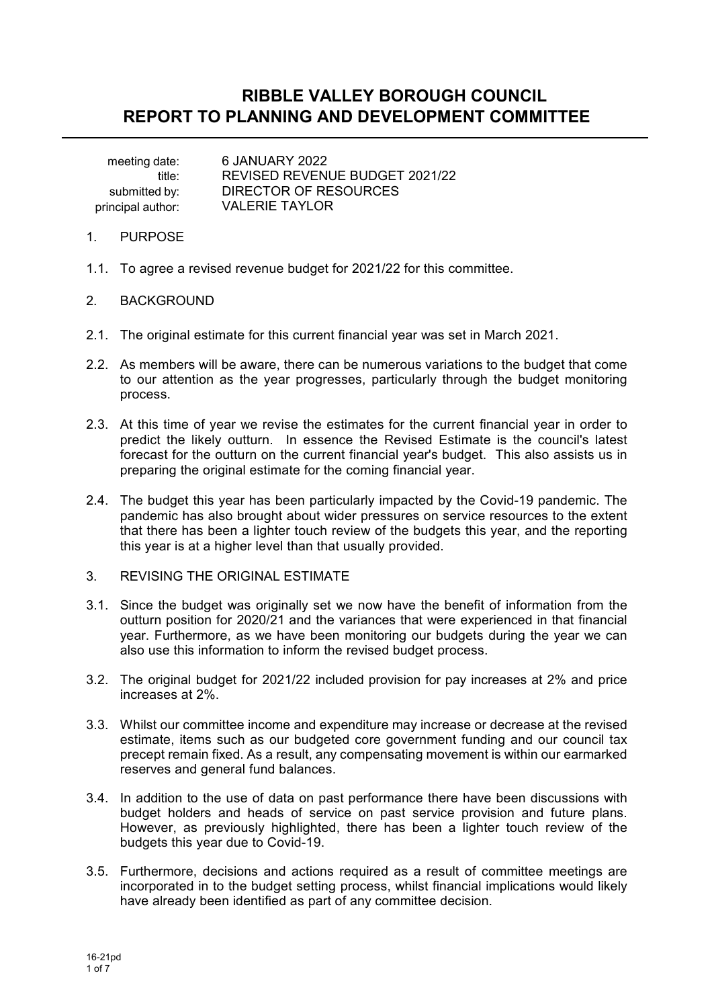# **RIBBLE VALLEY BOROUGH COUNCIL REPORT TO PLANNING AND DEVELOPMENT COMMITTEE**

 meeting date: 6 JANUARY 2022 submitted by: DIRECTOR OF RESOURCES principal author: VALERIE TAYLOR

title: REVISED REVENUE BUDGET 2021/22

- 1. PURPOSE
- 1.1. To agree a revised revenue budget for 2021/22 for this committee.
- 2. BACKGROUND
- 2.1. The original estimate for this current financial year was set in March 2021.
- 2.2. As members will be aware, there can be numerous variations to the budget that come to our attention as the year progresses, particularly through the budget monitoring process.
- 2.3. At this time of year we revise the estimates for the current financial year in order to predict the likely outturn. In essence the Revised Estimate is the council's latest forecast for the outturn on the current financial year's budget. This also assists us in preparing the original estimate for the coming financial year.
- 2.4. The budget this year has been particularly impacted by the Covid-19 pandemic. The pandemic has also brought about wider pressures on service resources to the extent that there has been a lighter touch review of the budgets this year, and the reporting this year is at a higher level than that usually provided.
- 3. REVISING THE ORIGINAL ESTIMATE
- 3.1. Since the budget was originally set we now have the benefit of information from the outturn position for 2020/21 and the variances that were experienced in that financial year. Furthermore, as we have been monitoring our budgets during the year we can also use this information to inform the revised budget process.
- 3.2. The original budget for 2021/22 included provision for pay increases at 2% and price increases at 2%.
- 3.3. Whilst our committee income and expenditure may increase or decrease at the revised estimate, items such as our budgeted core government funding and our council tax precept remain fixed. As a result, any compensating movement is within our earmarked reserves and general fund balances.
- 3.4. In addition to the use of data on past performance there have been discussions with budget holders and heads of service on past service provision and future plans. However, as previously highlighted, there has been a lighter touch review of the budgets this year due to Covid-19.
- 3.5. Furthermore, decisions and actions required as a result of committee meetings are incorporated in to the budget setting process, whilst financial implications would likely have already been identified as part of any committee decision.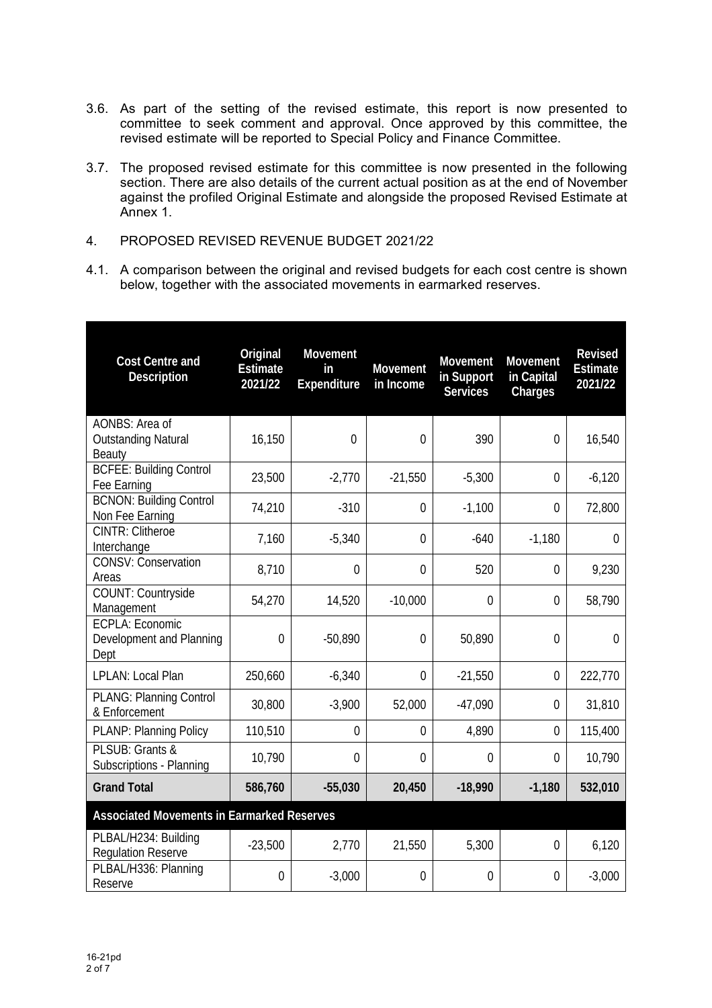- 3.6. As part of the setting of the revised estimate, this report is now presented to committee to seek comment and approval. Once approved by this committee, the revised estimate will be reported to Special Policy and Finance Committee.
- 3.7. The proposed revised estimate for this committee is now presented in the following section. There are also details of the current actual position as at the end of November against the profiled Original Estimate and alongside the proposed Revised Estimate at Annex 1.
- 4. PROPOSED REVISED REVENUE BUDGET 2021/22
- 4.1. A comparison between the original and revised budgets for each cost centre is shown below, together with the associated movements in earmarked reserves.

| <b>Cost Centre and</b><br>Description                      | Original<br><b>Estimate</b><br>2021/22 | Movement<br>in<br>Expenditure | Movement<br>in Income | Movement<br>in Support<br><b>Services</b> | <b>Movement</b><br>in Capital<br>Charges | Revised<br><b>Estimate</b><br>2021/22 |
|------------------------------------------------------------|----------------------------------------|-------------------------------|-----------------------|-------------------------------------------|------------------------------------------|---------------------------------------|
| AONBS: Area of<br><b>Outstanding Natural</b><br>Beauty     | 16,150                                 | $\overline{0}$                | $\theta$              | 390                                       | 0                                        | 16,540                                |
| <b>BCFEE: Building Control</b><br>Fee Earning              | 23,500                                 | $-2,770$                      | $-21,550$             | $-5,300$                                  | $\overline{0}$                           | $-6,120$                              |
| <b>BCNON: Building Control</b><br>Non Fee Earning          | 74,210                                 | $-310$                        | $\overline{0}$        | $-1,100$                                  | $\theta$                                 | 72,800                                |
| <b>CINTR: Clitheroe</b><br>Interchange                     | 7,160                                  | $-5,340$                      | $\overline{0}$        | $-640$                                    | $-1,180$                                 | $\overline{0}$                        |
| <b>CONSV: Conservation</b><br>Areas                        | 8,710                                  | $\mathbf 0$                   | $\theta$              | 520                                       | $\theta$                                 | 9,230                                 |
| COUNT: Countryside<br>Management                           | 54,270                                 | 14,520                        | $-10,000$             | $\overline{0}$                            | $\overline{0}$                           | 58,790                                |
| <b>ECPLA: Economic</b><br>Development and Planning<br>Dept | $\overline{0}$                         | $-50,890$                     | $\overline{0}$        | 50,890                                    | $\overline{0}$                           | $\overline{0}$                        |
| LPLAN: Local Plan                                          | 250,660                                | $-6,340$                      | $\theta$              | $-21,550$                                 | $\theta$                                 | 222,770                               |
| <b>PLANG: Planning Control</b><br>& Enforcement            | 30,800                                 | $-3,900$                      | 52,000                | $-47,090$                                 | $\overline{0}$                           | 31,810                                |
| PLANP: Planning Policy                                     | 110,510                                | $\overline{0}$                | $\overline{0}$        | 4,890                                     | $\Omega$                                 | 115,400                               |
| PLSUB: Grants &<br>Subscriptions - Planning                | 10,790                                 | $\theta$                      | $\theta$              | $\Omega$                                  | $\Omega$                                 | 10,790                                |
| <b>Grand Total</b>                                         | 586,760                                | $-55,030$                     | 20,450                | $-18,990$                                 | $-1,180$                                 | 532,010                               |
| <b>Associated Movements in Earmarked Reserves</b>          |                                        |                               |                       |                                           |                                          |                                       |
| PLBAL/H234: Building<br><b>Regulation Reserve</b>          | $-23,500$                              | 2,770                         | 21,550                | 5,300                                     | $\mathbf{0}$                             | 6,120                                 |
| PLBAL/H336: Planning<br>Reserve                            | $\overline{0}$                         | $-3,000$                      | $\theta$              | $\overline{0}$                            | $\overline{0}$                           | $-3,000$                              |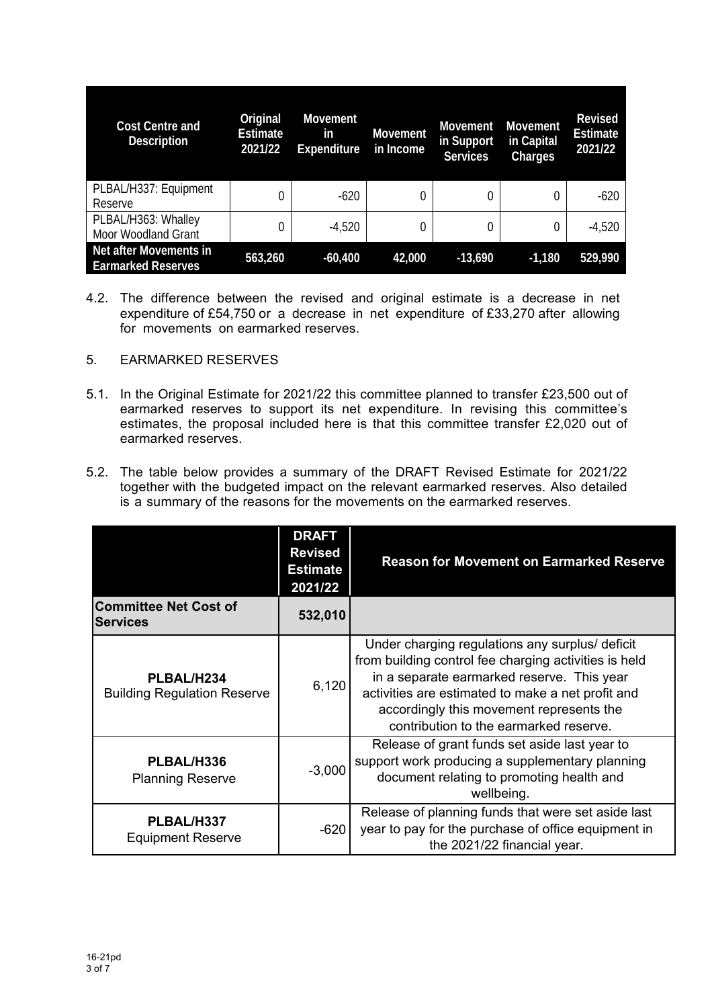| <b>Cost Centre and</b><br><b>Description</b>        | Original<br><b>Estimate</b><br>2021/22 | <b>Movement</b><br><i>in</i><br><b>Expenditure</b> | <b>Movement</b><br>in Income | <b>Movement</b><br>in Support<br><b>Services</b> | <b>Movement</b><br>in Capital<br>Charges | <b>Revised</b><br><b>Estimate</b><br>2021/22 |
|-----------------------------------------------------|----------------------------------------|----------------------------------------------------|------------------------------|--------------------------------------------------|------------------------------------------|----------------------------------------------|
| PLBAL/H337: Equipment<br>Reserve                    |                                        | $-620$                                             |                              | 0                                                |                                          | $-620$                                       |
| PLBAL/H363: Whalley<br>Moor Woodland Grant          |                                        | $-4,520$                                           | 0                            | 0                                                | 0                                        | $-4,520$                                     |
| Net after Movements in<br><b>Earmarked Reserves</b> | 563,260                                | $-60,400$                                          | 42,000                       | $-13,690$                                        | $-1,180$                                 | 529,990                                      |

4.2. The difference between the revised and original estimate is a decrease in net expenditure of £54,750 or a decrease in net expenditure of £33,270 after allowing for movements on earmarked reserves.

#### 5. EARMARKED RESERVES

- 5.1. In the Original Estimate for 2021/22 this committee planned to transfer £23,500 out of earmarked reserves to support its net expenditure. In revising this committee's estimates, the proposal included here is that this committee transfer £2,020 out of earmarked reserves.
- 5.2. The table below provides a summary of the DRAFT Revised Estimate for 2021/22 together with the budgeted impact on the relevant earmarked reserves. Also detailed is a summary of the reasons for the movements on the earmarked reserves.

|                                                                                                       | <b>DRAFT</b><br><b>Revised</b><br><b>Estimate</b><br>2021/22 | <b>Reason for Movement on Earmarked Reserve</b>                                                                                                                                                                                                                                                   |  |
|-------------------------------------------------------------------------------------------------------|--------------------------------------------------------------|---------------------------------------------------------------------------------------------------------------------------------------------------------------------------------------------------------------------------------------------------------------------------------------------------|--|
| <b>Committee Net Cost of</b><br><b>Services</b>                                                       | 532,010                                                      |                                                                                                                                                                                                                                                                                                   |  |
| PLBAL/H234<br><b>Building Regulation Reserve</b>                                                      | 6,120                                                        | Under charging regulations any surplus/ deficit<br>from building control fee charging activities is held<br>in a separate earmarked reserve. This year<br>activities are estimated to make a net profit and<br>accordingly this movement represents the<br>contribution to the earmarked reserve. |  |
| PLBAL/H336<br>$-3,000$<br><b>Planning Reserve</b><br>PLBAL/H337<br>$-620$<br><b>Equipment Reserve</b> |                                                              | Release of grant funds set aside last year to<br>support work producing a supplementary planning<br>document relating to promoting health and<br>wellbeing.                                                                                                                                       |  |
|                                                                                                       |                                                              | Release of planning funds that were set aside last<br>year to pay for the purchase of office equipment in<br>the 2021/22 financial year.                                                                                                                                                          |  |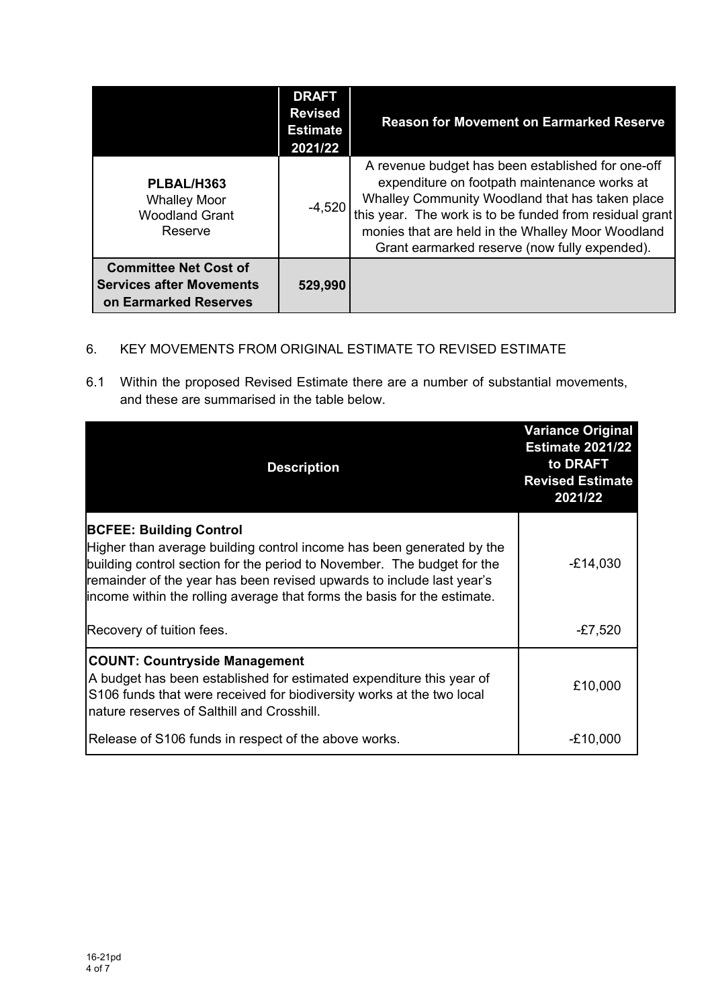|                                                                                          | <b>DRAFT</b><br><b>Revised</b><br><b>Estimate</b><br>2021/22 | <b>Reason for Movement on Earmarked Reserve</b>                                                                                                                                                                                                                                                                       |
|------------------------------------------------------------------------------------------|--------------------------------------------------------------|-----------------------------------------------------------------------------------------------------------------------------------------------------------------------------------------------------------------------------------------------------------------------------------------------------------------------|
| PLBAL/H363<br><b>Whalley Moor</b><br><b>Woodland Grant</b><br>Reserve                    | $-4,520$                                                     | A revenue budget has been established for one-off<br>expenditure on footpath maintenance works at<br>Whalley Community Woodland that has taken place<br>this year. The work is to be funded from residual grant<br>monies that are held in the Whalley Moor Woodland<br>Grant earmarked reserve (now fully expended). |
| <b>Committee Net Cost of</b><br><b>Services after Movements</b><br>on Earmarked Reserves | 529,990                                                      |                                                                                                                                                                                                                                                                                                                       |

## 6. KEY MOVEMENTS FROM ORIGINAL ESTIMATE TO REVISED ESTIMATE

6.1 Within the proposed Revised Estimate there are a number of substantial movements, and these are summarised in the table below.

| <b>Description</b>                                                                                                                                                                                                                                                                                                                      | <b>Variance Original</b><br><b>Estimate 2021/22</b><br>to DRAFT<br><b>Revised Estimate</b><br>2021/22 |
|-----------------------------------------------------------------------------------------------------------------------------------------------------------------------------------------------------------------------------------------------------------------------------------------------------------------------------------------|-------------------------------------------------------------------------------------------------------|
| <b>BCFEE: Building Control</b><br>Higher than average building control income has been generated by the<br>building control section for the period to November. The budget for the<br>remainder of the year has been revised upwards to include last year's<br>income within the rolling average that forms the basis for the estimate. | $-£14,030$                                                                                            |
| Recovery of tuition fees.                                                                                                                                                                                                                                                                                                               | $-£7,520$                                                                                             |
| <b>COUNT: Countryside Management</b><br>A budget has been established for estimated expenditure this year of<br>S106 funds that were received for biodiversity works at the two local<br>nature reserves of Salthill and Crosshill.                                                                                                     | £10,000                                                                                               |
| Release of S106 funds in respect of the above works.                                                                                                                                                                                                                                                                                    | $-£10,000$                                                                                            |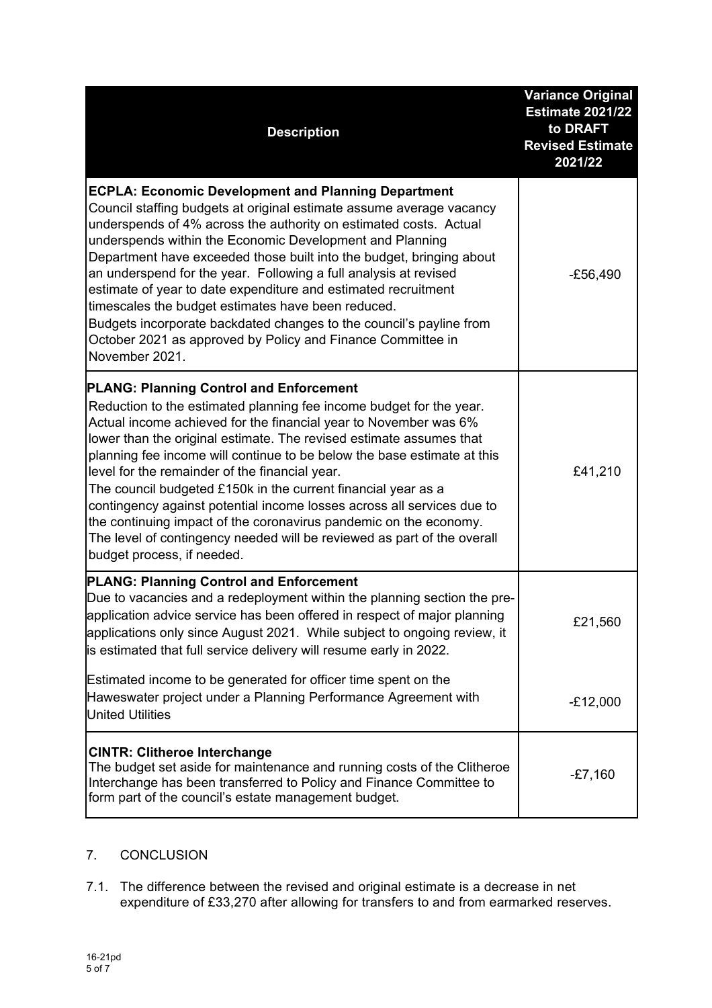| <b>Description</b>                                                                                                                                                                                                                                                                                                                                                                                                                                                                                                                                                                                                                                                                                                     | <b>Variance Original</b><br><b>Estimate 2021/22</b><br>to DRAFT<br><b>Revised Estimate</b><br>2021/22 |
|------------------------------------------------------------------------------------------------------------------------------------------------------------------------------------------------------------------------------------------------------------------------------------------------------------------------------------------------------------------------------------------------------------------------------------------------------------------------------------------------------------------------------------------------------------------------------------------------------------------------------------------------------------------------------------------------------------------------|-------------------------------------------------------------------------------------------------------|
| <b>ECPLA: Economic Development and Planning Department</b><br>Council staffing budgets at original estimate assume average vacancy<br>underspends of 4% across the authority on estimated costs. Actual<br>underspends within the Economic Development and Planning<br>Department have exceeded those built into the budget, bringing about<br>an underspend for the year. Following a full analysis at revised<br>estimate of year to date expenditure and estimated recruitment<br>timescales the budget estimates have been reduced.<br>Budgets incorporate backdated changes to the council's payline from<br>October 2021 as approved by Policy and Finance Committee in<br>November 2021.                        | $-£56,490$                                                                                            |
| <b>PLANG: Planning Control and Enforcement</b><br>Reduction to the estimated planning fee income budget for the year.<br>Actual income achieved for the financial year to November was 6%<br>lower than the original estimate. The revised estimate assumes that<br>planning fee income will continue to be below the base estimate at this<br>level for the remainder of the financial year.<br>The council budgeted £150k in the current financial year as a<br>contingency against potential income losses across all services due to<br>the continuing impact of the coronavirus pandemic on the economy.<br>The level of contingency needed will be reviewed as part of the overall<br>budget process, if needed. | £41,210                                                                                               |
| <b>PLANG: Planning Control and Enforcement</b><br>Due to vacancies and a redeployment within the planning section the pre-<br>application advice service has been offered in respect of major planning<br>applications only since August 2021. While subject to ongoing review, it<br>is estimated that full service delivery will resume early in 2022.                                                                                                                                                                                                                                                                                                                                                               | £21,560                                                                                               |
| Estimated income to be generated for officer time spent on the<br>Haweswater project under a Planning Performance Agreement with<br><b>United Utilities</b>                                                                                                                                                                                                                                                                                                                                                                                                                                                                                                                                                            | $-E12,000$                                                                                            |
| <b>CINTR: Clitheroe Interchange</b><br>The budget set aside for maintenance and running costs of the Clitheroe<br>Interchange has been transferred to Policy and Finance Committee to<br>form part of the council's estate management budget.                                                                                                                                                                                                                                                                                                                                                                                                                                                                          | $-E7,160$                                                                                             |

## 7. CONCLUSION

7.1. The difference between the revised and original estimate is a decrease in net expenditure of £33,270 after allowing for transfers to and from earmarked reserves.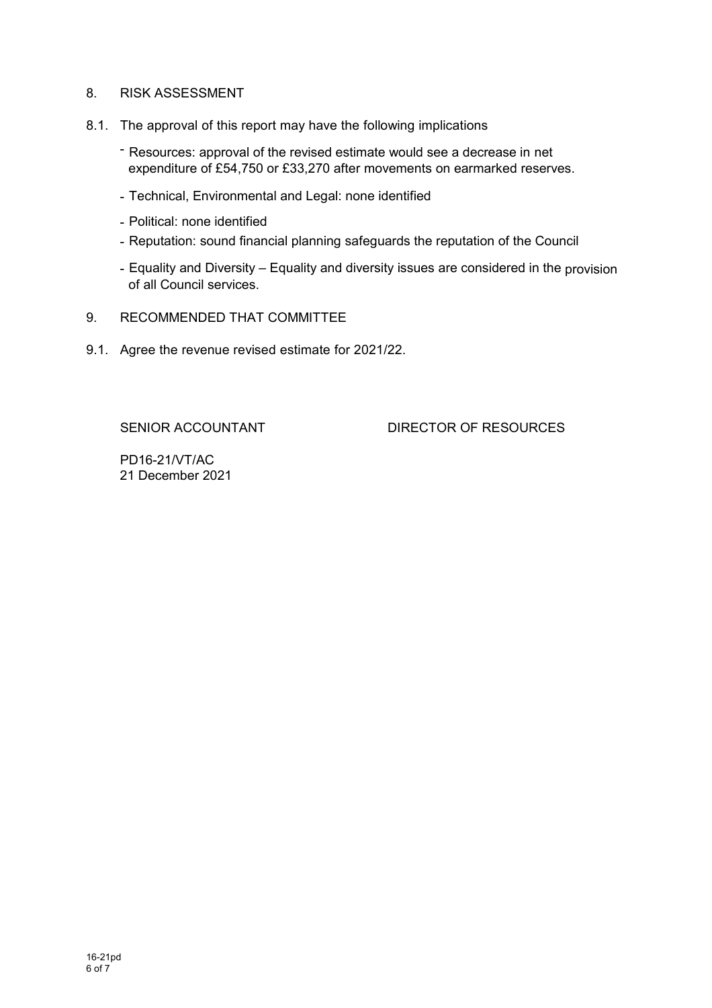### 8. RISK ASSESSMENT

- 8.1. The approval of this report may have the following implications
	- Resources: approval of the revised estimate would see a decrease in net expenditure of £54,750 or £33,270 after movements on earmarked reserves.
	- Technical, Environmental and Legal: none identified
	- Political: none identified
	- Reputation: sound financial planning safeguards the reputation of the Council
	- Equality and Diversity Equality and diversity issues are considered in the provision of all Council services.
- 9. RECOMMENDED THAT COMMITTEE
- 9.1. Agree the revenue revised estimate for 2021/22.

SENIOR ACCOUNTANT DIRECTOR OF RESOURCES

PD16-21/VT/AC 21 December 2021